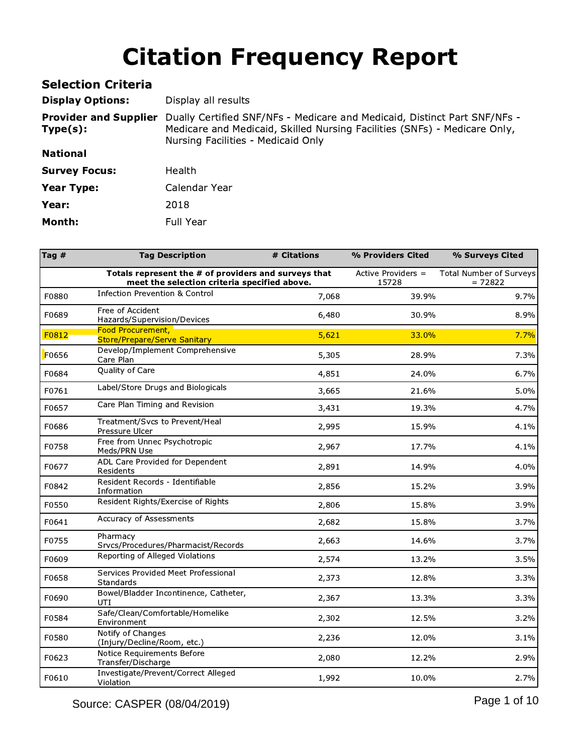| <b>Selection Criteria</b>                |                                                                                                                                                                                              |
|------------------------------------------|----------------------------------------------------------------------------------------------------------------------------------------------------------------------------------------------|
| <b>Display Options:</b>                  | Display all results                                                                                                                                                                          |
| <b>Provider and Supplier</b><br>Type(s): | Dually Certified SNF/NFs - Medicare and Medicaid, Distinct Part SNF/NFs -<br>Medicare and Medicaid, Skilled Nursing Facilities (SNFs) - Medicare Only,<br>Nursing Facilities - Medicaid Only |
| <b>National</b>                          |                                                                                                                                                                                              |
| <b>Survey Focus:</b>                     | Health                                                                                                                                                                                       |
| Year Type:                               | Calendar Year                                                                                                                                                                                |
| Year:                                    | 2018                                                                                                                                                                                         |
| Month:                                   | <b>Full Year</b>                                                                                                                                                                             |

| Tag $#$ | <b>Tag Description</b>                                                                               | # Citations | % Providers Cited           | % Surveys Cited                      |
|---------|------------------------------------------------------------------------------------------------------|-------------|-----------------------------|--------------------------------------|
|         | Totals represent the # of providers and surveys that<br>meet the selection criteria specified above. |             | Active Providers =<br>15728 | Total Number of Surveys<br>$= 72822$ |
| F0880   | <b>Infection Prevention &amp; Control</b>                                                            | 7,068       | 39.9%                       | 9.7%                                 |
| F0689   | Free of Accident<br>Hazards/Supervision/Devices                                                      | 6,480       | 30.9%                       | 8.9%                                 |
| F0812   | Food Procurement,<br><b>Store/Prepare/Serve Sanitary</b>                                             | 5,621       | 33.0%                       | 7.7%                                 |
| F0656   | Develop/Implement Comprehensive<br>Care Plan                                                         | 5,305       | 28.9%                       | 7.3%                                 |
| F0684   | Quality of Care                                                                                      | 4,851       | 24.0%                       | 6.7%                                 |
| F0761   | Label/Store Drugs and Biologicals                                                                    | 3,665       | 21.6%                       | 5.0%                                 |
| F0657   | Care Plan Timing and Revision                                                                        | 3,431       | 19.3%                       | 4.7%                                 |
| F0686   | Treatment/Svcs to Prevent/Heal<br>Pressure Ulcer                                                     | 2,995       | 15.9%                       | 4.1%                                 |
| F0758   | Free from Unnec Psychotropic<br>Meds/PRN Use                                                         | 2,967       | 17.7%                       | 4.1%                                 |
| F0677   | ADL Care Provided for Dependent<br>Residents                                                         | 2,891       | 14.9%                       | 4.0%                                 |
| F0842   | Resident Records - Identifiable<br>Information                                                       | 2,856       | 15.2%                       | 3.9%                                 |
| F0550   | Resident Rights/Exercise of Rights                                                                   | 2,806       | 15.8%                       | 3.9%                                 |
| F0641   | Accuracy of Assessments                                                                              | 2,682       | 15.8%                       | 3.7%                                 |
| F0755   | Pharmacy<br>Srvcs/Procedures/Pharmacist/Records                                                      | 2,663       | 14.6%                       | 3.7%                                 |
| F0609   | Reporting of Alleged Violations                                                                      | 2,574       | 13.2%                       | 3.5%                                 |
| F0658   | Services Provided Meet Professional<br><b>Standards</b>                                              | 2,373       | 12.8%                       | 3.3%                                 |
| F0690   | Bowel/Bladder Incontinence, Catheter,<br>UTI                                                         | 2,367       | 13.3%                       | 3.3%                                 |
| F0584   | Safe/Clean/Comfortable/Homelike<br>Environment                                                       | 2,302       | 12.5%                       | 3.2%                                 |
| F0580   | Notify of Changes<br>(Injury/Decline/Room, etc.)                                                     | 2,236       | 12.0%                       | 3.1%                                 |
| F0623   | Notice Requirements Before<br>Transfer/Discharge                                                     | 2,080       | 12.2%                       | 2.9%                                 |
| F0610   | Investigate/Prevent/Correct Alleged<br>Violation                                                     | 1,992       | 10.0%                       | 2.7%                                 |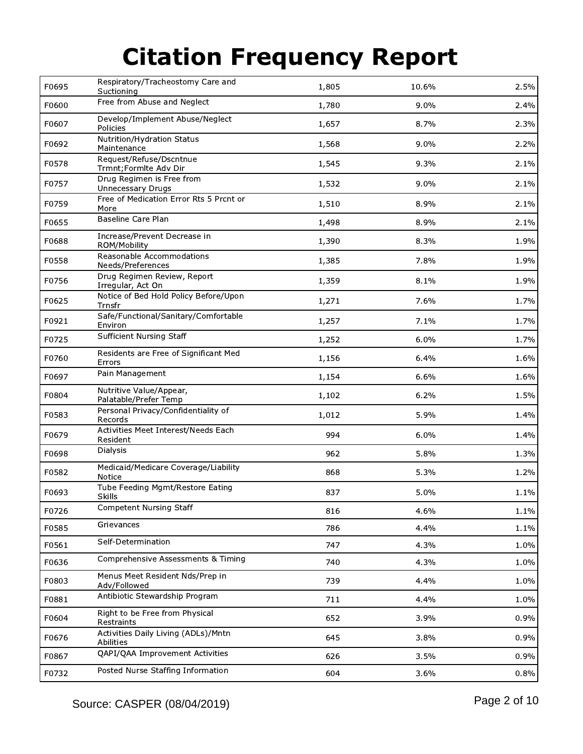| F0695 | Respiratory/Tracheostomy Care and<br>Suctioning       | 1,805 | 10.6% | 2.5% |
|-------|-------------------------------------------------------|-------|-------|------|
| F0600 | Free from Abuse and Neglect                           | 1,780 | 9.0%  | 2.4% |
| F0607 | Develop/Implement Abuse/Neglect<br>Policies           | 1,657 | 8.7%  | 2.3% |
| F0692 | Nutrition/Hydration Status<br>Maintenance             | 1,568 | 9.0%  | 2.2% |
| F0578 | Request/Refuse/Dscntnue<br>Trmnt; Formite Adv Dir     | 1,545 | 9.3%  | 2.1% |
| F0757 | Drug Regimen is Free from<br><b>Unnecessary Drugs</b> | 1,532 | 9.0%  | 2.1% |
| F0759 | Free of Medication Error Rts 5 Prcnt or<br>More       | 1,510 | 8.9%  | 2.1% |
| F0655 | Baseline Care Plan                                    | 1,498 | 8.9%  | 2.1% |
| F0688 | Increase/Prevent Decrease in<br>ROM/Mobility          | 1,390 | 8.3%  | 1.9% |
| F0558 | Reasonable Accommodations<br>Needs/Preferences        | 1,385 | 7.8%  | 1.9% |
| F0756 | Drug Regimen Review, Report<br>Irregular, Act On      | 1,359 | 8.1%  | 1.9% |
| F0625 | Notice of Bed Hold Policy Before/Upon<br>Trnsfr       | 1,271 | 7.6%  | 1.7% |
| F0921 | Safe/Functional/Sanitary/Comfortable<br>Environ       | 1,257 | 7.1%  | 1.7% |
| F0725 | Sufficient Nursing Staff                              | 1,252 | 6.0%  | 1.7% |
| F0760 | Residents are Free of Significant Med<br>Errors       | 1,156 | 6.4%  | 1.6% |
| F0697 | Pain Management                                       | 1,154 | 6.6%  | 1.6% |
| F0804 | Nutritive Value/Appear,<br>Palatable/Prefer Temp      | 1,102 | 6.2%  | 1.5% |
| F0583 | Personal Privacy/Confidentiality of<br>Records        | 1,012 | 5.9%  | 1.4% |
| F0679 | Activities Meet Interest/Needs Each<br>Resident       | 994   | 6.0%  | 1.4% |
| F0698 | Dialysis                                              | 962   | 5.8%  | 1.3% |
| F0582 | Medicaid/Medicare Coverage/Liability<br>Notice        | 868   | 5.3%  | 1.2% |
| F0693 | Tube Feeding Mgmt/Restore Eating<br><b>Skills</b>     | 837   | 5.0%  | 1.1% |
| F0726 | Competent Nursing Staff                               | 816   | 4.6%  | 1.1% |
| F0585 | Grievances                                            | 786   | 4.4%  | 1.1% |
| F0561 | Self-Determination                                    | 747   | 4.3%  | 1.0% |
| F0636 | Comprehensive Assessments & Timing                    | 740   | 4.3%  | 1.0% |
| F0803 | Menus Meet Resident Nds/Prep in<br>Adv/Followed       | 739   | 4.4%  | 1.0% |
| F0881 | Antibiotic Stewardship Program                        | 711   | 4.4%  | 1.0% |
| F0604 | Right to be Free from Physical<br>Restraints          | 652   | 3.9%  | 0.9% |
| F0676 | Activities Daily Living (ADLs)/Mntn<br>Abilities      | 645   | 3.8%  | 0.9% |
| F0867 | QAPI/QAA Improvement Activities                       | 626   | 3.5%  | 0.9% |
| F0732 | Posted Nurse Staffing Information                     | 604   | 3.6%  | 0.8% |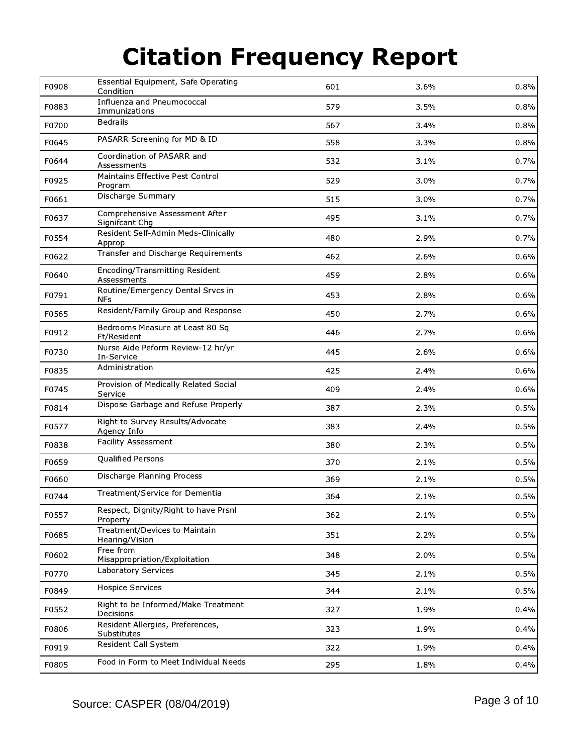| F0908 | Essential Equipment, Safe Operating<br>Condition | 601 | 3.6% | 0.8% |
|-------|--------------------------------------------------|-----|------|------|
| F0883 | Influenza and Pneumococcal<br>Immunizations      | 579 | 3.5% | 0.8% |
| F0700 | <b>Bedrails</b>                                  | 567 | 3.4% | 0.8% |
| F0645 | PASARR Screening for MD & ID                     | 558 | 3.3% | 0.8% |
| F0644 | Coordination of PASARR and<br>Assessments        | 532 | 3.1% | 0.7% |
| F0925 | Maintains Effective Pest Control<br>Program      | 529 | 3.0% | 0.7% |
| F0661 | Discharge Summary                                | 515 | 3.0% | 0.7% |
| F0637 | Comprehensive Assessment After<br>Signifcant Chg | 495 | 3.1% | 0.7% |
| F0554 | Resident Self-Admin Meds-Clinically<br>Approp    | 480 | 2.9% | 0.7% |
| F0622 | Transfer and Discharge Requirements              | 462 | 2.6% | 0.6% |
| F0640 | Encoding/Transmitting Resident<br>Assessments    | 459 | 2.8% | 0.6% |
| F0791 | Routine/Emergency Dental Srvcs in<br><b>NFs</b>  | 453 | 2.8% | 0.6% |
| F0565 | Resident/Family Group and Response               | 450 | 2.7% | 0.6% |
| F0912 | Bedrooms Measure at Least 80 Sq<br>Ft/Resident   | 446 | 2.7% | 0.6% |
| F0730 | Nurse Aide Peform Review-12 hr/yr<br>In-Service  | 445 | 2.6% | 0.6% |
| F0835 | Administration                                   | 425 | 2.4% | 0.6% |
| F0745 | Provision of Medically Related Social<br>Service | 409 | 2.4% | 0.6% |
| F0814 | Dispose Garbage and Refuse Properly              | 387 | 2.3% | 0.5% |
| F0577 | Right to Survey Results/Advocate<br>Agency Info  | 383 | 2.4% | 0.5% |
| F0838 | Facility Assessment                              | 380 | 2.3% | 0.5% |
| F0659 | Qualified Persons                                | 370 | 2.1% | 0.5% |
| F0660 | Discharge Planning Process                       | 369 | 2.1% | 0.5% |
| F0744 | Treatment/Service for Dementia                   | 364 | 2.1% | 0.5% |
| F0557 | Respect, Dignity/Right to have Prsnl<br>Property | 362 | 2.1% | 0.5% |
| F0685 | Treatment/Devices to Maintain<br>Hearing/Vision  | 351 | 2.2% | 0.5% |
| F0602 | Free from<br>Misappropriation/Exploitation       | 348 | 2.0% | 0.5% |
| F0770 | Laboratory Services                              | 345 | 2.1% | 0.5% |
| F0849 | <b>Hospice Services</b>                          | 344 | 2.1% | 0.5% |
| F0552 | Right to be Informed/Make Treatment<br>Decisions | 327 | 1.9% | 0.4% |
| F0806 | Resident Allergies, Preferences,<br>Substitutes  | 323 | 1.9% | 0.4% |
| F0919 | Resident Call System                             | 322 | 1.9% | 0.4% |
| F0805 | Food in Form to Meet Individual Needs            | 295 | 1.8% | 0.4% |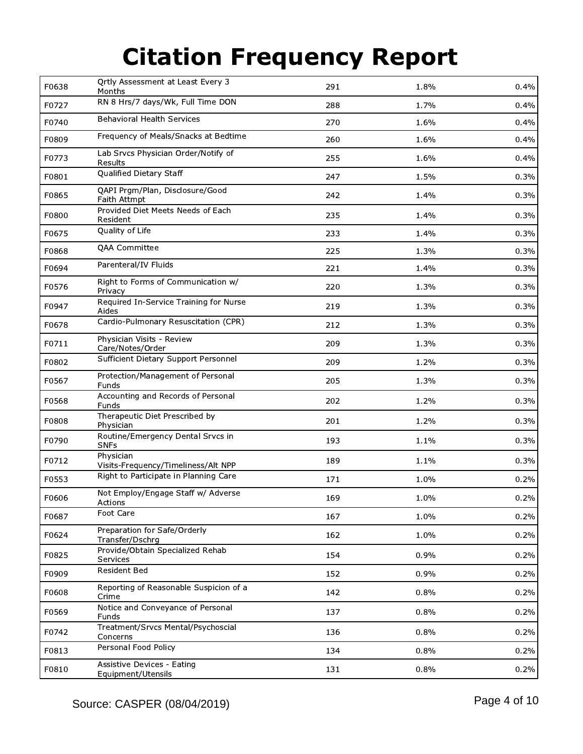| F0638 | Qrtly Assessment at Least Every 3<br>Months      | 291 | 1.8% | 0.4% |
|-------|--------------------------------------------------|-----|------|------|
| F0727 | RN 8 Hrs/7 days/Wk, Full Time DON                | 288 | 1.7% | 0.4% |
| F0740 | <b>Behavioral Health Services</b>                | 270 | 1.6% | 0.4% |
| F0809 | Frequency of Meals/Snacks at Bedtime             | 260 | 1.6% | 0.4% |
| F0773 | Lab Srvcs Physician Order/Notify of<br>Results   | 255 | 1.6% | 0.4% |
| F0801 | Qualified Dietary Staff                          | 247 | 1.5% | 0.3% |
| F0865 | QAPI Prgm/Plan, Disclosure/Good<br>Faith Attmpt  | 242 | 1.4% | 0.3% |
| F0800 | Provided Diet Meets Needs of Each<br>Resident    | 235 | 1.4% | 0.3% |
| F0675 | Quality of Life                                  | 233 | 1.4% | 0.3% |
| F0868 | <b>QAA Committee</b>                             | 225 | 1.3% | 0.3% |
| F0694 | Parenteral/IV Fluids                             | 221 | 1.4% | 0.3% |
| F0576 | Right to Forms of Communication w/<br>Privacy    | 220 | 1.3% | 0.3% |
| F0947 | Required In-Service Training for Nurse<br>Aides  | 219 | 1.3% | 0.3% |
| F0678 | Cardio-Pulmonary Resuscitation (CPR)             | 212 | 1.3% | 0.3% |
| F0711 | Physician Visits - Review<br>Care/Notes/Order    | 209 | 1.3% | 0.3% |
| F0802 | Sufficient Dietary Support Personnel             | 209 | 1.2% | 0.3% |
| F0567 | Protection/Management of Personal<br>Funds       | 205 | 1.3% | 0.3% |
| F0568 | Accounting and Records of Personal<br>Funds      | 202 | 1.2% | 0.3% |
| F0808 | Therapeutic Diet Prescribed by<br>Physician      | 201 | 1.2% | 0.3% |
| F0790 | Routine/Emergency Dental Srvcs in<br><b>SNFs</b> | 193 | 1.1% | 0.3% |
| F0712 | Physician<br>Visits-Frequency/Timeliness/Alt NPP | 189 | 1.1% | 0.3% |
| F0553 | Right to Participate in Planning Care            | 171 | 1.0% | 0.2% |
| F0606 | Not Employ/Engage Staff w/ Adverse<br>Actions    | 169 | 1.0% | 0.2% |
| F0687 | Foot Care                                        | 167 | 1.0% | 0.2% |
| F0624 | Preparation for Safe/Orderly<br>Transfer/Dschrg  | 162 | 1.0% | 0.2% |
| F0825 | Provide/Obtain Specialized Rehab<br>Services     | 154 | 0.9% | 0.2% |
| F0909 | Resident Bed                                     | 152 | 0.9% | 0.2% |
| F0608 | Reporting of Reasonable Suspicion of a<br>Crime  | 142 | 0.8% | 0.2% |
| F0569 | Notice and Conveyance of Personal<br>Funds       | 137 | 0.8% | 0.2% |
| F0742 | Treatment/Srvcs Mental/Psychoscial<br>Concerns   | 136 | 0.8% | 0.2% |
| F0813 | Personal Food Policy                             | 134 | 0.8% | 0.2% |
| F0810 | Assistive Devices - Eating<br>Equipment/Utensils | 131 | 0.8% | 0.2% |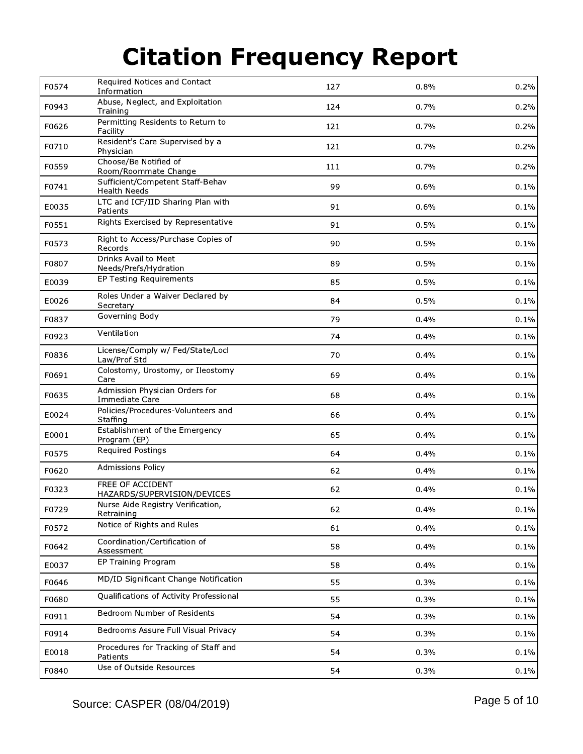| F0574 | Required Notices and Contact<br>Information             | 127 | 0.8% | 0.2% |
|-------|---------------------------------------------------------|-----|------|------|
| F0943 | Abuse, Neglect, and Exploitation<br>Training            | 124 | 0.7% | 0.2% |
| F0626 | Permitting Residents to Return to<br>Facility           | 121 | 0.7% | 0.2% |
| F0710 | Resident's Care Supervised by a<br>Physician            | 121 | 0.7% | 0.2% |
| F0559 | Choose/Be Notified of<br>Room/Roommate Change           | 111 | 0.7% | 0.2% |
| F0741 | Sufficient/Competent Staff-Behav<br><b>Health Needs</b> | 99  | 0.6% | 0.1% |
| E0035 | LTC and ICF/IID Sharing Plan with<br>Patients           | 91  | 0.6% | 0.1% |
| F0551 | Rights Exercised by Representative                      | 91  | 0.5% | 0.1% |
| F0573 | Right to Access/Purchase Copies of<br>Records           | 90  | 0.5% | 0.1% |
| F0807 | Drinks Avail to Meet<br>Needs/Prefs/Hydration           | 89  | 0.5% | 0.1% |
| E0039 | EP Testing Requirements                                 | 85  | 0.5% | 0.1% |
| E0026 | Roles Under a Waiver Declared by<br>Secretary           | 84  | 0.5% | 0.1% |
| F0837 | Governing Body                                          | 79  | 0.4% | 0.1% |
| F0923 | Ventilation                                             | 74  | 0.4% | 0.1% |
| F0836 | License/Comply w/ Fed/State/Locl<br>Law/Prof Std        | 70  | 0.4% | 0.1% |
| F0691 | Colostomy, Urostomy, or Ileostomy<br>Care               | 69  | 0.4% | 0.1% |
| F0635 | Admission Physician Orders for<br>Immediate Care        | 68  | 0.4% | 0.1% |
| E0024 | Policies/Procedures-Volunteers and<br>Staffing          | 66  | 0.4% | 0.1% |
| E0001 | Establishment of the Emergency<br>Program (EP)          | 65  | 0.4% | 0.1% |
| F0575 | <b>Required Postings</b>                                | 64  | 0.4% | 0.1% |
| F0620 | <b>Admissions Policy</b>                                | 62  | 0.4% | 0.1% |
| F0323 | FREE OF ACCIDENT<br>HAZARDS/SUPERVISION/DEVICES         | 62  | 0.4% | 0.1% |
| F0729 | Nurse Aide Registry Verification,<br>Retraining         | 62  | 0.4% | 0.1% |
| F0572 | Notice of Rights and Rules                              | 61  | 0.4% | 0.1% |
| F0642 | Coordination/Certification of<br>Assessment             | 58  | 0.4% | 0.1% |
| E0037 | EP Training Program                                     | 58  | 0.4% | 0.1% |
| F0646 | MD/ID Significant Change Notification                   | 55  | 0.3% | 0.1% |
| F0680 | Qualifications of Activity Professional                 | 55  | 0.3% | 0.1% |
| F0911 | Bedroom Number of Residents                             | 54  | 0.3% | 0.1% |
| F0914 | Bedrooms Assure Full Visual Privacy                     | 54  | 0.3% | 0.1% |
| E0018 | Procedures for Tracking of Staff and<br>Patients        | 54  | 0.3% | 0.1% |
| F0840 | Use of Outside Resources                                | 54  | 0.3% | 0.1% |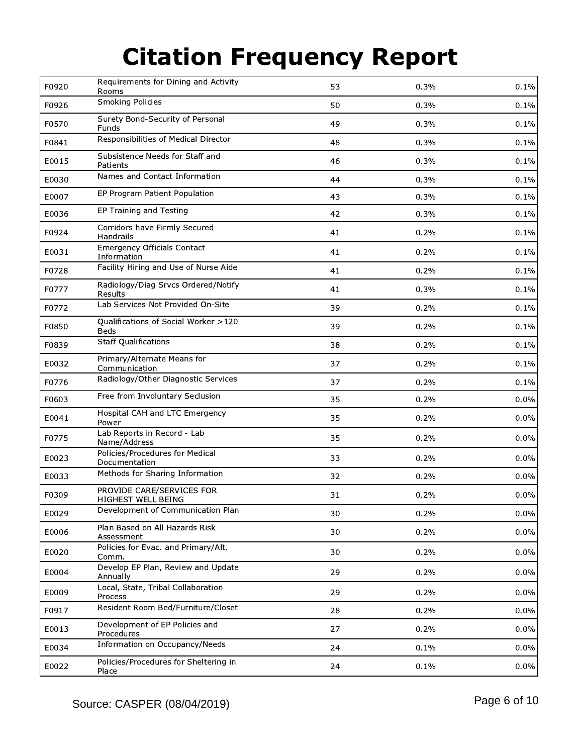| F0920 | Requirements for Dining and Activity<br>Rooms       | 53 | 0.3% | 0.1%    |
|-------|-----------------------------------------------------|----|------|---------|
| F0926 | <b>Smoking Policies</b>                             | 50 | 0.3% | 0.1%    |
| F0570 | Surety Bond-Security of Personal<br>Funds           | 49 | 0.3% | 0.1%    |
| F0841 | Responsibilities of Medical Director                | 48 | 0.3% | 0.1%    |
| E0015 | Subsistence Needs for Staff and<br>Patients         | 46 | 0.3% | 0.1%    |
| E0030 | Names and Contact Information                       | 44 | 0.3% | 0.1%    |
| E0007 | EP Program Patient Population                       | 43 | 0.3% | 0.1%    |
| E0036 | EP Training and Testing                             | 42 | 0.3% | 0.1%    |
| F0924 | Corridors have Firmly Secured<br>Handrails          | 41 | 0.2% | 0.1%    |
| E0031 | <b>Emergency Officials Contact</b><br>Information   | 41 | 0.2% | 0.1%    |
| F0728 | Facility Hiring and Use of Nurse Aide               | 41 | 0.2% | 0.1%    |
| F0777 | Radiology/Diag Srvcs Ordered/Notify<br>Results      | 41 | 0.3% | 0.1%    |
| F0772 | Lab Services Not Provided On-Site                   | 39 | 0.2% | 0.1%    |
| F0850 | Qualifications of Social Worker >120<br><b>Beds</b> | 39 | 0.2% | 0.1%    |
| F0839 | <b>Staff Qualifications</b>                         | 38 | 0.2% | 0.1%    |
| E0032 | Primary/Alternate Means for<br>Communication        | 37 | 0.2% | 0.1%    |
| F0776 | Radiology/Other Diagnostic Services                 | 37 | 0.2% | 0.1%    |
| F0603 | Free from Involuntary Seclusion                     | 35 | 0.2% | 0.0%    |
| E0041 | Hospital CAH and LTC Emergency<br>Power             | 35 | 0.2% | $0.0\%$ |
| F0775 | Lab Reports in Record - Lab<br>Name/Address         | 35 | 0.2% | 0.0%    |
| E0023 | Policies/Procedures for Medical<br>Documentation    | 33 | 0.2% | $0.0\%$ |
| E0033 | Methods for Sharing Information                     | 32 | 0.2% | 0.0%    |
| F0309 | PROVIDE CARE/SERVICES FOR<br>HIGHEST WELL BEING     | 31 | 0.2% | 0.0%    |
| E0029 | Development of Communication Plan                   | 30 | 0.2% | 0.0%    |
| E0006 | Plan Based on All Hazards Risk<br>Assessment        | 30 | 0.2% | 0.0%    |
| E0020 | Policies for Evac. and Primary/Alt.<br>Comm.        | 30 | 0.2% | 0.0%    |
| E0004 | Develop EP Plan, Review and Update<br>Annually      | 29 | 0.2% | $0.0\%$ |
| E0009 | Local, State, Tribal Collaboration<br>Process       | 29 | 0.2% | 0.0%    |
| F0917 | Resident Room Bed/Furniture/Closet                  | 28 | 0.2% | 0.0%    |
| E0013 | Development of EP Policies and<br>Procedures        | 27 | 0.2% | $0.0\%$ |
| E0034 | Information on Occupancy/Needs                      | 24 | 0.1% | 0.0%    |
| E0022 | Policies/Procedures for Sheltering in<br>Place      | 24 | 0.1% | 0.0%    |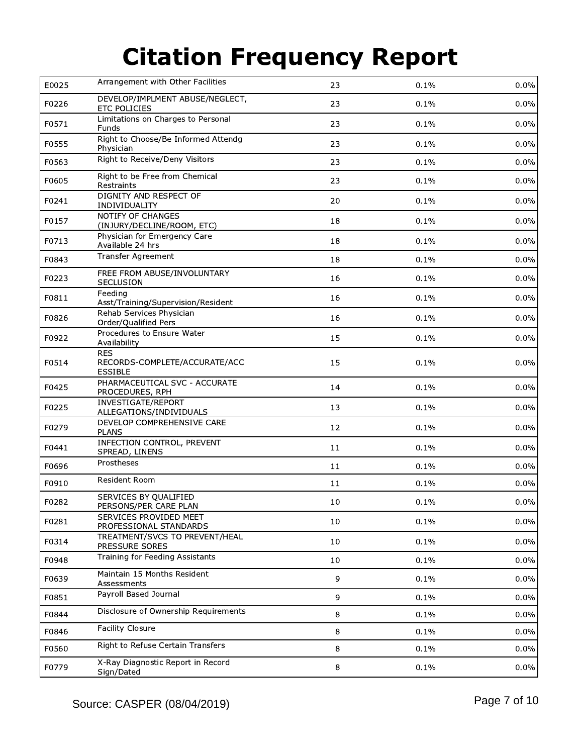| E0025 | Arrangement with Other Facilities                             | 23     | 0.1% | 0.0%    |
|-------|---------------------------------------------------------------|--------|------|---------|
| F0226 | DEVELOP/IMPLMENT ABUSE/NEGLECT,<br><b>ETC POLICIES</b>        | 23     | 0.1% | 0.0%    |
| F0571 | Limitations on Charges to Personal<br>Funds                   | 23     | 0.1% | 0.0%    |
| F0555 | Right to Choose/Be Informed Attendg<br>Physician              | 23     | 0.1% | 0.0%    |
| F0563 | Right to Receive/Deny Visitors                                | 23     | 0.1% | 0.0%    |
| F0605 | Right to be Free from Chemical<br>Restraints                  | 23     | 0.1% | 0.0%    |
| F0241 | DIGNITY AND RESPECT OF<br>INDIVIDUALITY                       | 20     | 0.1% | 0.0%    |
| F0157 | NOTIFY OF CHANGES<br>(INJURY/DECLINE/ROOM, ETC)               | 18     | 0.1% | 0.0%    |
| F0713 | Physician for Emergency Care<br>Available 24 hrs              | 18     | 0.1% | 0.0%    |
| F0843 | Transfer Agreement                                            | 18     | 0.1% | 0.0%    |
| F0223 | FREE FROM ABUSE/INVOLUNTARY<br>SECLUSION                      | 16     | 0.1% | 0.0%    |
| F0811 | Feeding<br>Asst/Training/Supervision/Resident                 | 16     | 0.1% | 0.0%    |
| F0826 | Rehab Services Physician<br>Order/Qualified Pers              | 16     | 0.1% | 0.0%    |
| F0922 | Procedures to Ensure Water<br>Availability                    | 15     | 0.1% | 0.0%    |
| F0514 | <b>RES</b><br>RECORDS-COMPLETE/ACCURATE/ACC<br><b>ESSIBLE</b> | 15     | 0.1% | $0.0\%$ |
| F0425 | PHARMACEUTICAL SVC - ACCURATE<br>PROCEDURES, RPH              | 14     | 0.1% | $0.0\%$ |
| F0225 | INVESTIGATE/REPORT<br>ALLEGATIONS/INDIVIDUALS                 | 13     | 0.1% | 0.0%    |
| F0279 | DEVELOP COMPREHENSIVE CARE<br><b>PLANS</b>                    | 12     | 0.1% | 0.0%    |
| F0441 | <b>INFECTION CONTROL, PREVENT</b><br>SPREAD, LINENS           | 11     | 0.1% | 0.0%    |
| F0696 | Prostheses                                                    | 11     | 0.1% | 0.0%    |
| F0910 | Resident Room                                                 | 11     | 0.1% | 0.0%    |
| F0282 | SERVICES BY QUALIFIED<br>PERSONS/PER CARE PLAN                | $10\,$ | 0.1% | 0.0%    |
| F0281 | SERVICES PROVIDED MEET<br>PROFESSIONAL STANDARDS              | 10     | 0.1% | 0.0%    |
| F0314 | TREATMENT/SVCS TO PREVENT/HEAL<br>PRESSURE SORES              | 10     | 0.1% | 0.0%    |
| F0948 | Training for Feeding Assistants                               | 10     | 0.1% | 0.0%    |
| F0639 | Maintain 15 Months Resident<br>Assessments                    | 9      | 0.1% | 0.0%    |
| F0851 | Payroll Based Journal                                         | 9      | 0.1% | 0.0%    |
| F0844 | Disclosure of Ownership Requirements                          | 8      | 0.1% | 0.0%    |
| F0846 | Facility Closure                                              | 8      | 0.1% | 0.0%    |
| F0560 | Right to Refuse Certain Transfers                             | 8      | 0.1% | 0.0%    |
| F0779 | X-Ray Diagnostic Report in Record<br>Sign/Dated               | 8      | 0.1% | 0.0%    |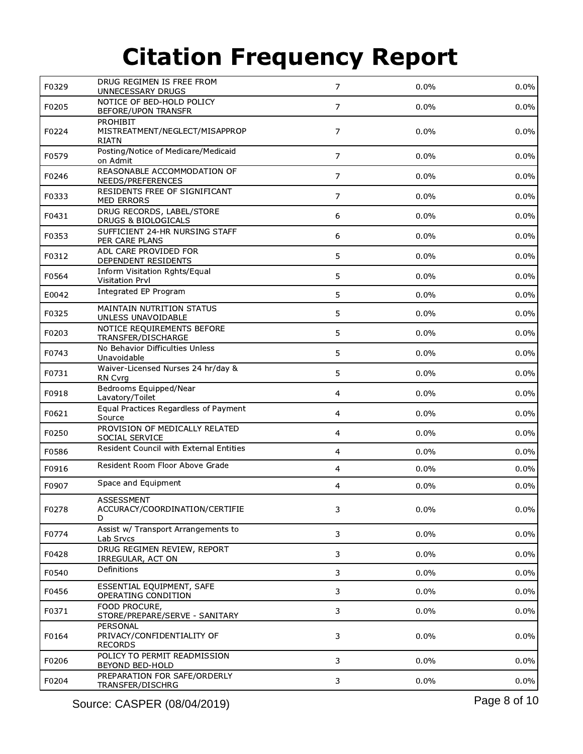| F0329 | DRUG REGIMEN IS FREE FROM<br>UNNECESSARY DRUGS                    | $\overline{7}$ | 0.0%    | 0.0%    |
|-------|-------------------------------------------------------------------|----------------|---------|---------|
| F0205 | NOTICE OF BED-HOLD POLICY<br><b>BEFORE/UPON TRANSFR</b>           | $\overline{7}$ | 0.0%    | 0.0%    |
| F0224 | <b>PROHIBIT</b><br>MISTREATMENT/NEGLECT/MISAPPROP<br><b>RIATN</b> | $\overline{7}$ | 0.0%    | 0.0%    |
| F0579 | Posting/Notice of Medicare/Medicaid<br>on Admit                   | $\overline{7}$ | 0.0%    | 0.0%    |
| F0246 | REASONABLE ACCOMMODATION OF<br>NEEDS/PREFERENCES                  | $\overline{7}$ | 0.0%    | 0.0%    |
| F0333 | RESIDENTS FREE OF SIGNIFICANT<br>MED ERRORS                       | $\overline{7}$ | 0.0%    | 0.0%    |
| F0431 | DRUG RECORDS, LABEL/STORE<br>DRUGS & BIOLOGICALS                  | 6              | $0.0\%$ | 0.0%    |
| F0353 | SUFFICIENT 24-HR NURSING STAFF<br>PER CARE PLANS                  | 6              | 0.0%    | 0.0%    |
| F0312 | ADL CARE PROVIDED FOR<br>DEPENDENT RESIDENTS                      | 5              | 0.0%    | 0.0%    |
| F0564 | Inform Visitation Rghts/Equal<br>Visitation Prvl                  | 5              | 0.0%    | 0.0%    |
| E0042 | Integrated EP Program                                             | 5              | $0.0\%$ | 0.0%    |
| F0325 | MAINTAIN NUTRITION STATUS<br>UNLESS UNAVOIDABLE                   | 5              | 0.0%    | 0.0%    |
| F0203 | NOTICE REQUIREMENTS BEFORE<br>TRANSFER/DISCHARGE                  | 5              | 0.0%    | 0.0%    |
| F0743 | No Behavior Difficulties Unless<br>Unavoidable                    | 5              | $0.0\%$ | 0.0%    |
| F0731 | Waiver-Licensed Nurses 24 hr/day &<br>RN Cvrg                     | 5              | 0.0%    | 0.0%    |
| F0918 | Bedrooms Equipped/Near<br>Lavatory/Toilet                         | $\overline{4}$ | 0.0%    | 0.0%    |
| F0621 | Equal Practices Regardless of Payment<br>Source                   | $\overline{4}$ | 0.0%    | 0.0%    |
| F0250 | PROVISION OF MEDICALLY RELATED<br>SOCIAL SERVICE                  | $\overline{4}$ | 0.0%    | 0.0%    |
| F0586 | Resident Council with External Entities                           | $\overline{4}$ | 0.0%    | 0.0%    |
| F0916 | Resident Room Floor Above Grade                                   | $\overline{4}$ | 0.0%    | 0.0%    |
| F0907 | Space and Equipment                                               | 4              | 0.0%    | 0.0%    |
| F0278 | ASSESSMENT<br>ACCURACY/COORDINATION/CERTIFIE<br>D                 | 3              | 0.0%    | 0.0%    |
| F0774 | Assist w/ Transport Arrangements to<br>Lab Srvcs                  | 3              | 0.0%    | 0.0%    |
| F0428 | DRUG REGIMEN REVIEW, REPORT<br>IRREGULAR, ACT ON                  | 3              | 0.0%    | 0.0%    |
| F0540 | Definitions                                                       | 3              | 0.0%    | 0.0%    |
| F0456 | ESSENTIAL EQUIPMENT, SAFE<br>OPERATING CONDITION                  | 3              | 0.0%    | 0.0%    |
| F0371 | FOOD PROCURE,<br>STORE/PREPARE/SERVE - SANITARY                   | $\mathbf{3}$   | 0.0%    | 0.0%    |
| F0164 | PERSONAL<br>PRIVACY/CONFIDENTIALITY OF<br><b>RECORDS</b>          | 3              | 0.0%    | $0.0\%$ |
| F0206 | POLICY TO PERMIT READMISSION<br>BEYOND BED-HOLD                   | 3              | 0.0%    | $0.0\%$ |
| F0204 | PREPARATION FOR SAFE/ORDERLY<br>TRANSFER/DISCHRG                  | 3              | 0.0%    | 0.0%    |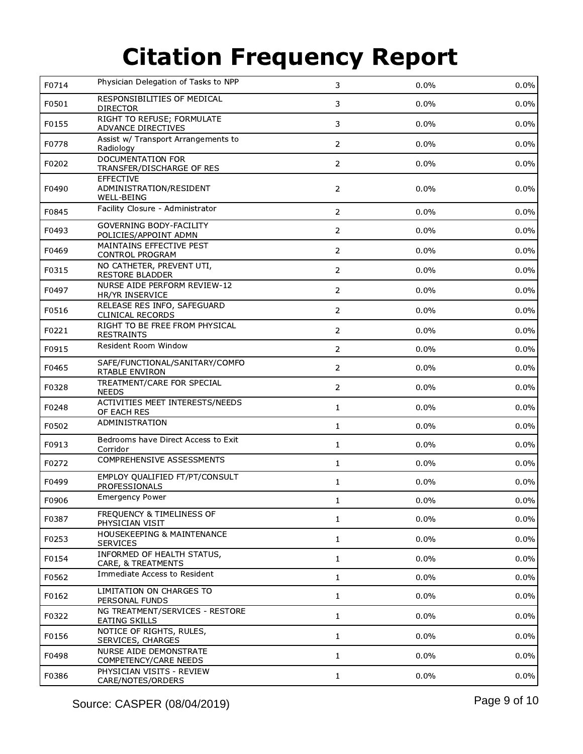| F0714 | Physician Delegation of Tasks to NPP                             | 3              | 0.0%    | 0.0%    |
|-------|------------------------------------------------------------------|----------------|---------|---------|
| F0501 | RESPONSIBILITIES OF MEDICAL<br><b>DIRECTOR</b>                   | 3              | 0.0%    | 0.0%    |
| F0155 | RIGHT TO REFUSE; FORMULATE<br>ADVANCE DIRECTIVES                 | 3              | $0.0\%$ | 0.0%    |
| F0778 | Assist w/ Transport Arrangements to<br>Radiology                 | $\overline{2}$ | 0.0%    | 0.0%    |
| F0202 | DOCUMENTATION FOR<br>TRANSFER/DISCHARGE OF RES                   | $\overline{2}$ | 0.0%    | 0.0%    |
| F0490 | <b>EFFECTIVE</b><br>ADMINISTRATION/RESIDENT<br><b>WELL-BEING</b> | $\overline{2}$ | 0.0%    | $0.0\%$ |
| F0845 | Facility Closure - Administrator                                 | $\overline{2}$ | 0.0%    | 0.0%    |
| F0493 | <b>GOVERNING BODY-FACILITY</b><br>POLICIES/APPOINT ADMN          | $\overline{2}$ | 0.0%    | 0.0%    |
| F0469 | MAINTAINS EFFECTIVE PEST<br>CONTROL PROGRAM                      | $\overline{2}$ | 0.0%    | 0.0%    |
| F0315 | NO CATHETER, PREVENT UTI,<br><b>RESTORE BLADDER</b>              | $\overline{2}$ | 0.0%    | 0.0%    |
| F0497 | NURSE AIDE PERFORM REVIEW-12<br>HR/YR INSERVICE                  | $\overline{2}$ | 0.0%    | 0.0%    |
| F0516 | RELEASE RES INFO, SAFEGUARD<br><b>CLINICAL RECORDS</b>           | $\overline{2}$ | 0.0%    | 0.0%    |
| F0221 | RIGHT TO BE FREE FROM PHYSICAL<br><b>RESTRAINTS</b>              | $\overline{2}$ | 0.0%    | $0.0\%$ |
| F0915 | Resident Room Window                                             | $\overline{2}$ | 0.0%    | 0.0%    |
| F0465 | SAFE/FUNCTIONAL/SANITARY/COMFO<br>RTABLE ENVIRON                 | $\overline{2}$ | 0.0%    | 0.0%    |
| F0328 | TREATMENT/CARE FOR SPECIAL<br><b>NEEDS</b>                       | $\overline{2}$ | 0.0%    | 0.0%    |
| F0248 | ACTIVITIES MEET INTERESTS/NEEDS<br>OF EACH RES                   | $\mathbf{1}$   | 0.0%    | 0.0%    |
| F0502 | ADMINISTRATION                                                   | $\mathbf{1}$   | 0.0%    | 0.0%    |
| F0913 | Bedrooms have Direct Access to Exit<br>Corridor                  | 1              | 0.0%    | $0.0\%$ |
| F0272 | COMPREHENSIVE ASSESSMENTS                                        | $\mathbf{1}$   | 0.0%    | 0.0%    |
| F0499 | EMPLOY QUALIFIED FT/PT/CONSULT<br>PROFESSIONALS                  | 1              | 0.0%    | 0.0%    |
| F0906 | <b>Emergency Power</b>                                           | 1              | $0.0\%$ | 0.0%    |
| F0387 | FREQUENCY & TIMELINESS OF<br>PHYSICIAN VISIT                     | 1              | 0.0%    | 0.0%    |
| F0253 | HOUSEKEEPING & MAINTENANCE<br><b>SERVICES</b>                    | $\mathbf{1}$   | 0.0%    | 0.0%    |
| F0154 | INFORMED OF HEALTH STATUS,<br>CARE, & TREATMENTS                 | 1              | 0.0%    | 0.0%    |
| F0562 | Immediate Access to Resident                                     | $\mathbf 1$    | 0.0%    | 0.0%    |
| F0162 | LIMITATION ON CHARGES TO<br>PERSONAL FUNDS                       | $\mathbf{1}$   | 0.0%    | 0.0%    |
| F0322 | NG TREATMENT/SERVICES - RESTORE<br>EATING SKILLS                 | $\mathbf{1}$   | 0.0%    | 0.0%    |
| F0156 | NOTICE OF RIGHTS, RULES,<br>SERVICES, CHARGES                    | $\mathbf{1}$   | 0.0%    | 0.0%    |
| F0498 | NURSE AIDE DEMONSTRATE<br>COMPETENCY/CARE NEEDS                  | 1              | 0.0%    | 0.0%    |
| F0386 | PHYSICIAN VISITS - REVIEW<br>CARE/NOTES/ORDERS                   | $\mathbf{1}$   | 0.0%    | 0.0%    |